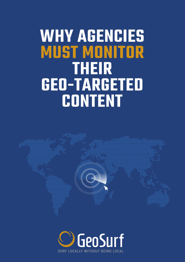# **WHY AGENCIES MUST MONITOR THEIR GEO-TARGETED CONTENT**



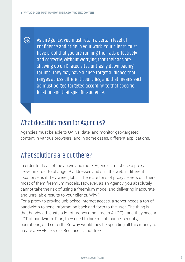$\bigodot$ 

As an Agency, you must retain a certain level of confidence and pride in your work. Your clients must have proof that you are running their ads effectively and correctly, without worrying that their ads are showing up on X-rated sites or trashy downloading forums. They may have a huge target audience that ranges across different countries, and that means each ad must be geo-targeted according to that specific location and that specific audience.

## What does this mean for Agencies?

Agencies must be able to QA, validate, and monitor geo-targeted content in various browsers, and in some cases, different applications.

## What solutions are out there?

In order to do all of the above and more, Agencies must use a proxy server in order to change IP addresses and surf the web in different locations- as if they were global. There are tons of proxy servers out there, most of them freemium models. However, as an Agency, you absolutely cannot take the risk of using a freemium model and delivering inaccurate and unreliable results to your clients. Why?

For a proxy to provide unblocked internet access, a server needs a ton of bandwidth to send information back and forth to the user. The thing is that bandwidth costs a lot of money (and I mean A LOT)—and they need A LOT of bandwidth. Plus, they need to hire maintenance, security, operations, and so forth. So why would they be spending all this money to create a FREE service? Because it's not free.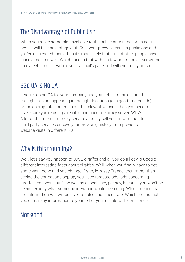# The Disadvantage of Public Use

When you make something available to the public at minimal or no cost people will take advantage of it. So if your proxy server is a public one and you've discovered them, then it's most likely that tons of other people have discovered it as well. Which means that within a few hours the server will be so overwhelmed, it will move at a snail's pace and will eventually crash.

# Bad QA is No QA

If you're doing QA for your company and your job is to make sure that the right ads are appearing in the right locations (aka geo-targeted ads) or the appropriate content is on the relevant website, then you need to make sure you're using a reliable and accurate proxy server. Why? A lot of the freemium proxy servers actually sell your information to third party services or save your browsing history from previous website visits in different IPs.

# Why is this troubling?

Well, let's say you happen to LOVE giraffes and all you do all day is Google different interesting facts about giraffes. Well, when you finally have to get some work done and you change IPs to, let's say France, then rather than seeing the correct ads pop up, you'll see targeted ads- ads concerning giraffes. You won't surf the web as a local user, per say, because you won't be seeing exactly what someone in France would be seeing. Which means that the information you will be given is false and inaccurate. Which means that you can't relay information to yourself or your clients with confidence.

# Not good.